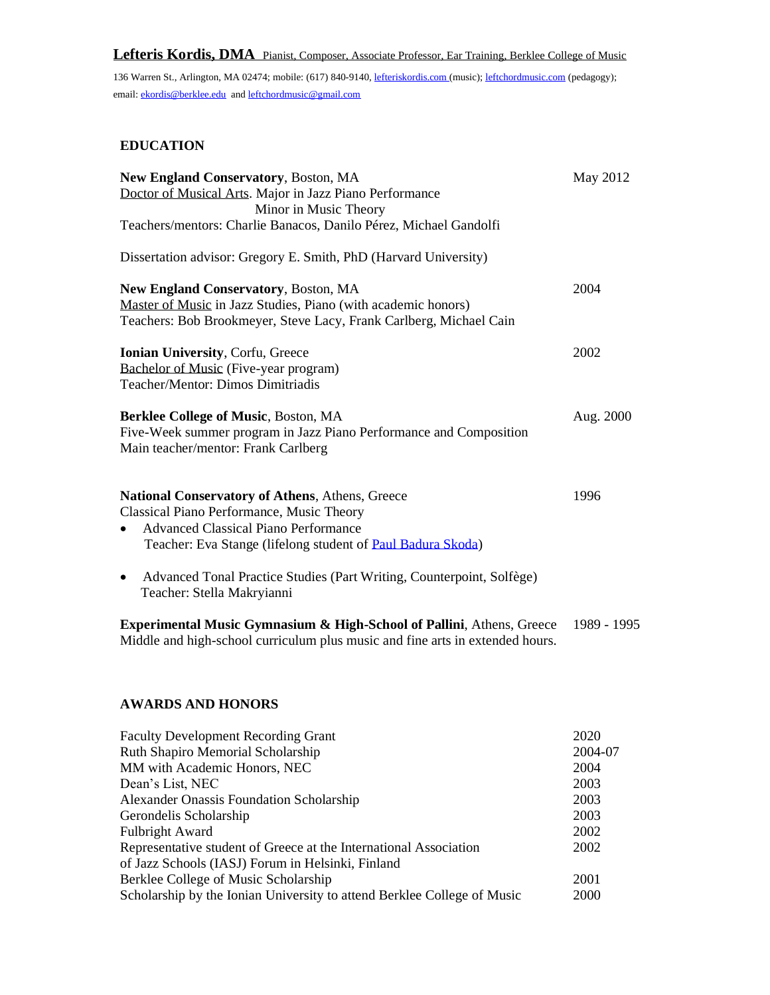# **Lefteris Kordis, DMA** Pianist, Composer, Associate Professor, Ear Training, Berklee College of Music

136 Warren St., Arlington, MA 02474; mobile: (617) 840-9140[, lefteriskordis.com](http://www.leftchordmusic.com/) (music)[; leftchordmusic.com](http://leftchordmusic.com/) (pedagogy); email: [ekordis@berklee.edu](mailto:ekordis@berklee.edu) an[d leftchordmusic@gmail.com](mailto:leftchordmusic@gmail.com)

# **EDUCATION**

| <b>New England Conservatory, Boston, MA</b>                                        | May 2012    |
|------------------------------------------------------------------------------------|-------------|
| Doctor of Musical Arts. Major in Jazz Piano Performance                            |             |
| Minor in Music Theory                                                              |             |
| Teachers/mentors: Charlie Banacos, Danilo Pérez, Michael Gandolfi                  |             |
| Dissertation advisor: Gregory E. Smith, PhD (Harvard University)                   |             |
| <b>New England Conservatory, Boston, MA</b>                                        | 2004        |
| Master of Music in Jazz Studies, Piano (with academic honors)                      |             |
| Teachers: Bob Brookmeyer, Steve Lacy, Frank Carlberg, Michael Cain                 |             |
| Ionian University, Corfu, Greece                                                   | 2002        |
| Bachelor of Music (Five-year program)                                              |             |
| Teacher/Mentor: Dimos Dimitriadis                                                  |             |
| <b>Berklee College of Music, Boston, MA</b>                                        | Aug. 2000   |
| Five-Week summer program in Jazz Piano Performance and Composition                 |             |
| Main teacher/mentor: Frank Carlberg                                                |             |
|                                                                                    |             |
| <b>National Conservatory of Athens, Athens, Greece</b>                             | 1996        |
| Classical Piano Performance, Music Theory                                          |             |
| <b>Advanced Classical Piano Performance</b><br>$\bullet$                           |             |
| Teacher: Eva Stange (lifelong student of Paul Badura Skoda)                        |             |
| Advanced Tonal Practice Studies (Part Writing, Counterpoint, Solfège)<br>$\bullet$ |             |
| Teacher: Stella Makryianni                                                         |             |
| Experimental Music Gymnasium & High-School of Pallini, Athens, Greece              | 1989 - 1995 |
| Middle and high-school curriculum plus music and fine arts in extended hours.      |             |

## **AWARDS AND HONORS**

| <b>Faculty Development Recording Grant</b>                              | 2020    |
|-------------------------------------------------------------------------|---------|
| Ruth Shapiro Memorial Scholarship                                       | 2004-07 |
| MM with Academic Honors, NEC                                            | 2004    |
| Dean's List, NEC                                                        | 2003    |
| <b>Alexander Onassis Foundation Scholarship</b>                         | 2003    |
| Gerondelis Scholarship                                                  | 2003    |
| <b>Fulbright Award</b>                                                  | 2002    |
| Representative student of Greece at the International Association       | 2002    |
| of Jazz Schools (IASJ) Forum in Helsinki, Finland                       |         |
| Berklee College of Music Scholarship                                    | 2001    |
| Scholarship by the Ionian University to attend Berklee College of Music | 2000    |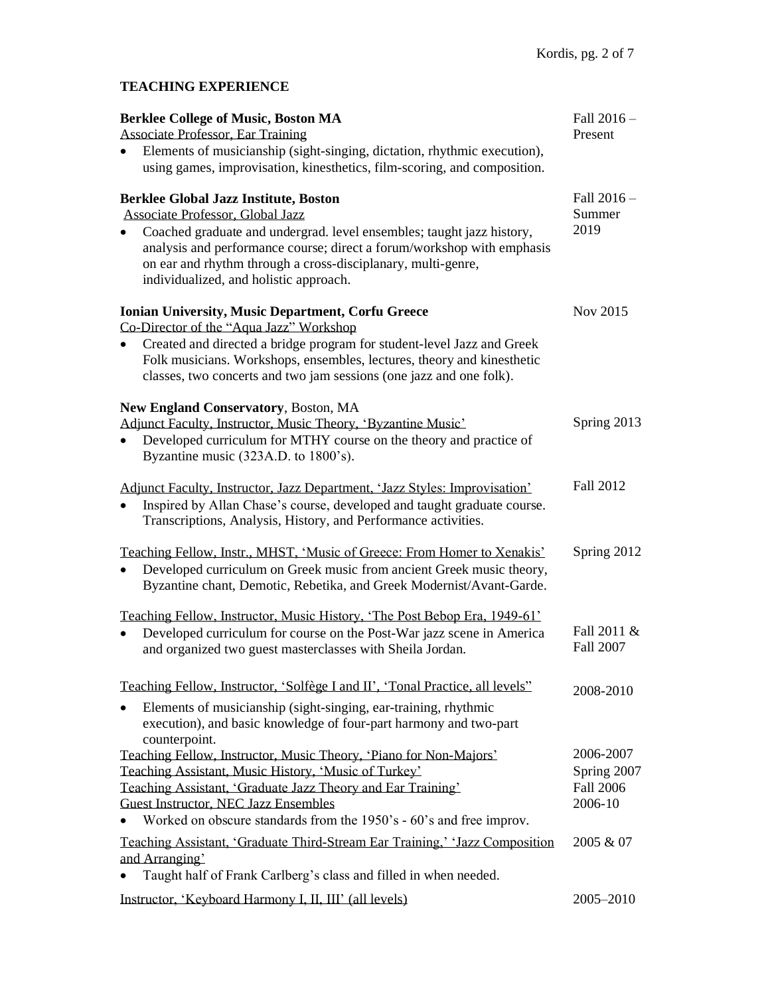# **TEACHING EXPERIENCE**

| <b>Berklee College of Music, Boston MA</b>                                                                                                                                                                                                                | Fall 2016 -                     |
|-----------------------------------------------------------------------------------------------------------------------------------------------------------------------------------------------------------------------------------------------------------|---------------------------------|
| <b>Associate Professor, Ear Training</b>                                                                                                                                                                                                                  | Present                         |
| Elements of musicianship (sight-singing, dictation, rhythmic execution),                                                                                                                                                                                  |                                 |
| using games, improvisation, kinesthetics, film-scoring, and composition.                                                                                                                                                                                  |                                 |
| <b>Berklee Global Jazz Institute, Boston</b>                                                                                                                                                                                                              | Fall 2016 -                     |
| Associate Professor, Global Jazz                                                                                                                                                                                                                          | Summer                          |
| Coached graduate and undergrad. level ensembles; taught jazz history,<br>analysis and performance course; direct a forum/workshop with emphasis<br>on ear and rhythm through a cross-disciplanary, multi-genre,<br>individualized, and holistic approach. | 2019                            |
| <b>Ionian University, Music Department, Corfu Greece</b>                                                                                                                                                                                                  | Nov 2015                        |
| Co-Director of the "Aqua Jazz" Workshop                                                                                                                                                                                                                   |                                 |
| Created and directed a bridge program for student-level Jazz and Greek<br>Folk musicians. Workshops, ensembles, lectures, theory and kinesthetic<br>classes, two concerts and two jam sessions (one jazz and one folk).                                   |                                 |
| <b>New England Conservatory, Boston, MA</b>                                                                                                                                                                                                               |                                 |
| Adjunct Faculty, Instructor, Music Theory, 'Byzantine Music'                                                                                                                                                                                              | Spring 2013                     |
| Developed curriculum for MTHY course on the theory and practice of                                                                                                                                                                                        |                                 |
| Byzantine music (323A.D. to 1800's).                                                                                                                                                                                                                      |                                 |
| Adjunct Faculty, Instructor, Jazz Department, 'Jazz Styles: Improvisation'<br>Inspired by Allan Chase's course, developed and taught graduate course.<br>Transcriptions, Analysis, History, and Performance activities.                                   | <b>Fall 2012</b>                |
| Teaching Fellow, Instr., MHST, 'Music of Greece: From Homer to Xenakis'<br>Developed curriculum on Greek music from ancient Greek music theory,<br>Byzantine chant, Demotic, Rebetika, and Greek Modernist/Avant-Garde.                                   | Spring 2012                     |
| Teaching Fellow, Instructor, Music History, 'The Post Bebop Era, 1949-61'                                                                                                                                                                                 |                                 |
| Developed curriculum for course on the Post-War jazz scene in America<br>and organized two guest masterclasses with Sheila Jordan.                                                                                                                        | Fall 2011 &<br><b>Fall 2007</b> |
| Teaching Fellow, Instructor, 'Solfège I and II', 'Tonal Practice, all levels''                                                                                                                                                                            | 2008-2010                       |
| Elements of musicianship (sight-singing, ear-training, rhythmic<br>execution), and basic knowledge of four-part harmony and two-part<br>counterpoint.                                                                                                     |                                 |
| Teaching Fellow, Instructor, Music Theory, 'Piano for Non-Majors'                                                                                                                                                                                         | 2006-2007                       |
| Teaching Assistant, Music History, 'Music of Turkey'                                                                                                                                                                                                      | Spring 2007                     |
| Teaching Assistant, 'Graduate Jazz Theory and Ear Training'                                                                                                                                                                                               | <b>Fall 2006</b>                |
| <b>Guest Instructor, NEC Jazz Ensembles</b>                                                                                                                                                                                                               | 2006-10                         |
| Worked on obscure standards from the 1950's - 60's and free improv.                                                                                                                                                                                       |                                 |
| Teaching Assistant, 'Graduate Third-Stream Ear Training,' 'Jazz Composition                                                                                                                                                                               | 2005 & 07                       |
| and Arranging'<br>Taught half of Frank Carlberg's class and filled in when needed.                                                                                                                                                                        |                                 |
| Instructor, 'Keyboard Harmony I, II, III' (all levels)                                                                                                                                                                                                    | 2005-2010                       |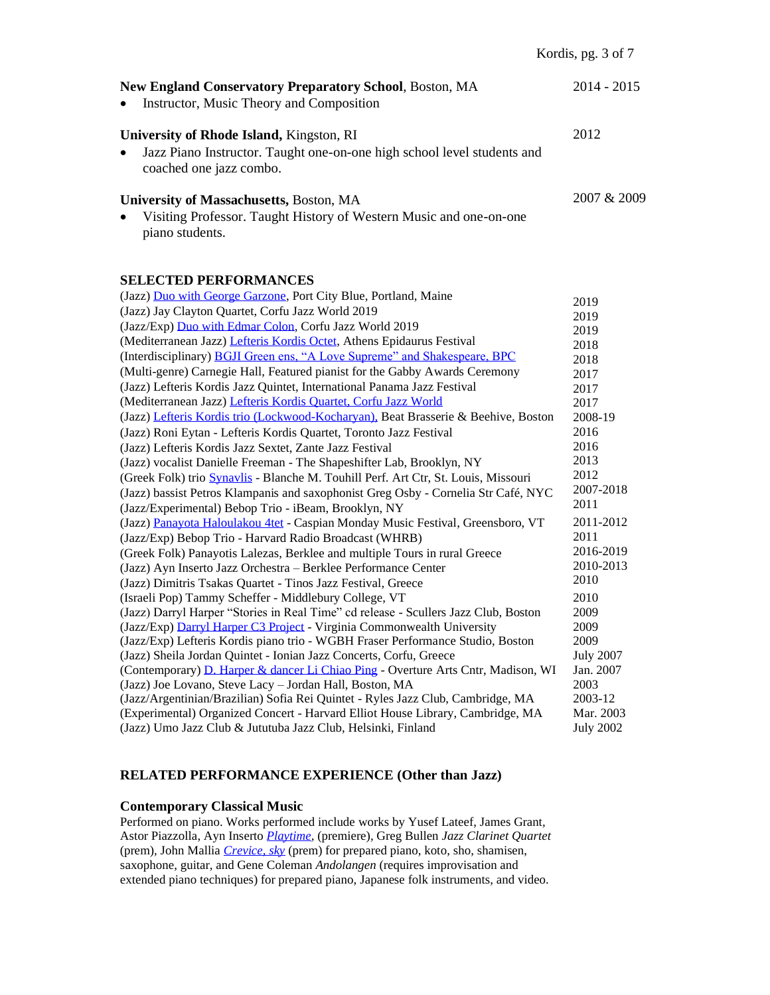| <b>New England Conservatory Preparatory School, Boston, MA</b><br>Instructor, Music Theory and Composition<br>$\bullet$                                     | $2014 - 2015$ |
|-------------------------------------------------------------------------------------------------------------------------------------------------------------|---------------|
| University of Rhode Island, Kingston, RI<br>Jazz Piano Instructor. Taught one-on-one high school level students and<br>$\bullet$<br>coached one jazz combo. | 2012          |
| University of Massachusetts, Boston, MA<br>Visiting Professor. Taught History of Western Music and one-on-one<br>$\bullet$<br>piano students.               | 2007 & 2009   |

## **SELECTED PERFORMANCES**

| (Jazz) Duo with George Garzone, Port City Blue, Portland, Maine                     |                  |
|-------------------------------------------------------------------------------------|------------------|
| (Jazz) Jay Clayton Quartet, Corfu Jazz World 2019                                   | 2019<br>2019     |
| (Jazz/Exp) Duo with Edmar Colon, Corfu Jazz World 2019                              | 2019             |
| (Mediterranean Jazz) Lefteris Kordis Octet, Athens Epidaurus Festival               | 2018             |
| (Interdisciplinary) BGJI Green ens, "A Love Supreme" and Shakespeare, BPC           | 2018             |
| (Multi-genre) Carnegie Hall, Featured pianist for the Gabby Awards Ceremony         | 2017             |
| (Jazz) Lefteris Kordis Jazz Quintet, International Panama Jazz Festival             | 2017             |
| (Mediterranean Jazz) Lefteris Kordis Quartet, Corfu Jazz World                      | 2017             |
| (Jazz) Lefteris Kordis trio (Lockwood-Kocharyan), Beat Brasserie & Beehive, Boston  | 2008-19          |
| (Jazz) Roni Eytan - Lefteris Kordis Quartet, Toronto Jazz Festival                  | 2016             |
| (Jazz) Lefteris Kordis Jazz Sextet, Zante Jazz Festival                             | 2016             |
| (Jazz) vocalist Danielle Freeman - The Shapeshifter Lab, Brooklyn, NY               | 2013             |
| (Greek Folk) trio Synavlis - Blanche M. Touhill Perf. Art Ctr, St. Louis, Missouri  | 2012             |
| (Jazz) bassist Petros Klampanis and saxophonist Greg Osby - Cornelia Str Café, NYC  | 2007-2018        |
| (Jazz/Experimental) Bebop Trio - iBeam, Brooklyn, NY                                | 2011             |
| (Jazz) Panayota Haloulakou 4tet - Caspian Monday Music Festival, Greensboro, VT     | 2011-2012        |
| (Jazz/Exp) Bebop Trio - Harvard Radio Broadcast (WHRB)                              | 2011             |
| (Greek Folk) Panayotis Lalezas, Berklee and multiple Tours in rural Greece          | 2016-2019        |
| (Jazz) Ayn Inserto Jazz Orchestra - Berklee Performance Center                      | 2010-2013        |
| (Jazz) Dimitris Tsakas Quartet - Tinos Jazz Festival, Greece                        | 2010             |
| (Israeli Pop) Tammy Scheffer - Middlebury College, VT                               | 2010             |
| (Jazz) Darryl Harper "Stories in Real Time" cd release - Scullers Jazz Club, Boston | 2009             |
| (Jazz/Exp) Darryl Harper C3 Project - Virginia Commonwealth University              | 2009             |
| (Jazz/Exp) Lefteris Kordis piano trio - WGBH Fraser Performance Studio, Boston      | 2009             |
| (Jazz) Sheila Jordan Quintet - Ionian Jazz Concerts, Corfu, Greece                  | <b>July 2007</b> |
| (Contemporary) D. Harper & dancer Li Chiao Ping - Overture Arts Cntr, Madison, WI   | Jan. 2007        |
| (Jazz) Joe Lovano, Steve Lacy - Jordan Hall, Boston, MA                             | 2003             |
| (Jazz/Argentinian/Brazilian) Sofia Rei Quintet - Ryles Jazz Club, Cambridge, MA     | 2003-12          |
| (Experimental) Organized Concert - Harvard Elliot House Library, Cambridge, MA      | Mar. 2003        |
| (Jazz) Umo Jazz Club & Jututuba Jazz Club, Helsinki, Finland                        | <b>July 2002</b> |

#### **RELATED PERFORMANCE EXPERIENCE (Other than Jazz)**

#### **Contemporary Classical Music**

Performed on piano. Works performed include works by Yusef Lateef, James Grant*,*  Astor Piazzolla, Ayn Inserto *[Playtime,](http://www.youtube.com/watch?v=4fht6RBC-Uo)* (premiere)*,* Greg Bullen *Jazz Clarinet Quartet*  (prem)*,* John Mallia *[Crevice, sky](http://www.youtube.com/watch?v=gBVDN0Snr-0)* (prem) for prepared piano, koto, sho, shamisen, saxophone, guitar, and Gene Coleman *Andolangen* (requires improvisation and extended piano techniques) for prepared piano, Japanese folk instruments, and video.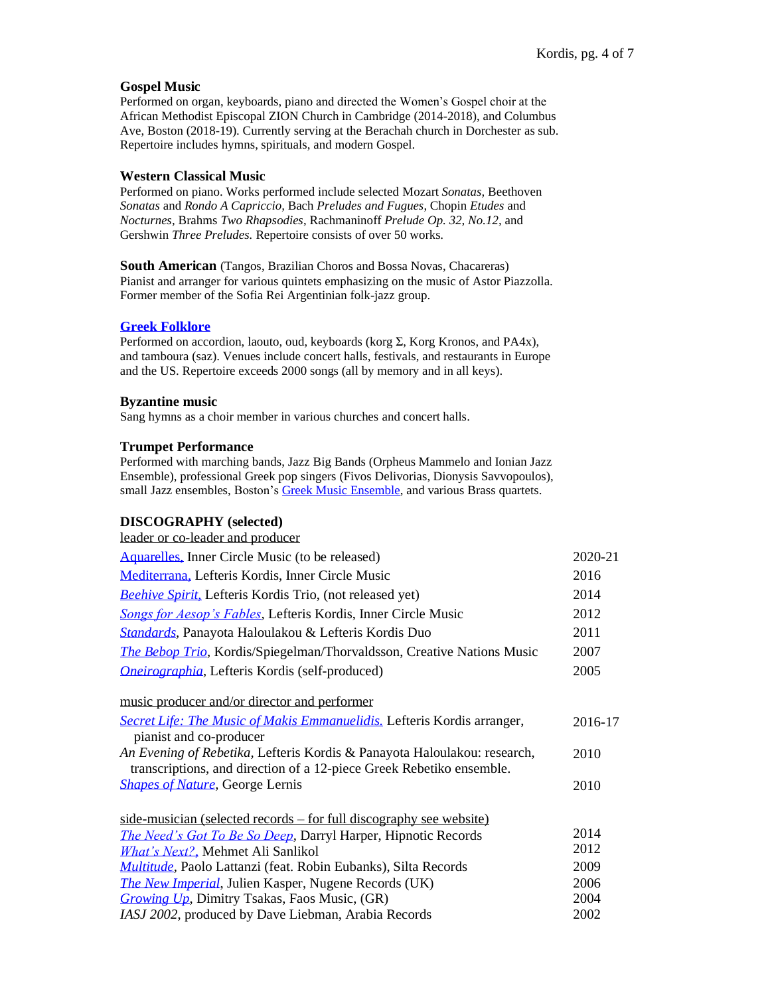#### **Gospel Music**

Performed on organ, keyboards, piano and directed the Women's Gospel choir at the African Methodist Episcopal ZION Church in Cambridge (2014-2018), and Columbus Ave, Boston (2018-19). Currently serving at the Berachah church in Dorchester as sub. Repertoire includes hymns, spirituals, and modern Gospel.

#### **Western Classical Music**

Performed on piano. Works performed include selected Mozart *Sonatas,* Beethoven *Sonatas* and *Rondo A Capriccio,* Bach *Preludes and Fugues*, Chopin *Etudes* and *Nocturnes,* Brahms *Two Rhapsodies*, Rachmaninoff *Prelude Op. 32, No.12,* and Gershwin *Three Preludes.* Repertoire consists of over 50 works.

**South American** (Tangos, Brazilian Choros and Bossa Novas, Chacareras) Pianist and arranger for various quintets emphasizing on the music of Astor Piazzolla. Former member of the Sofia Rei Argentinian folk-jazz group.

#### **[Greek Folklore](https://youtu.be/1yEoYkqwK2o)**

Performed on accordion, laouto, oud, keyboards (korg Σ, Korg Kronos, and PA4x), and tamboura (saz). Venues include concert halls, festivals, and restaurants in Europe and the US. Repertoire exceeds 2000 songs (all by memory and in all keys).

#### **Byzantine music**

Sang hymns as a choir member in various churches and concert halls.

#### **Trumpet Performance**

Performed with marching bands, Jazz Big Bands (Orpheus Mammelo and Ionian Jazz Ensemble), professional Greek pop singers (Fivos Delivorias, Dionysis Savvopoulos), small Jazz ensembles, Boston's [Greek Music Ensemble,](http://www.youtube.com/watch?v=HG76BolGSTE) and various Brass quartets.

#### **DISCOGRAPHY (selected)**

| leader or co-leader and producer |  |
|----------------------------------|--|
|----------------------------------|--|

| Aquarelles, Inner Circle Music (to be released)                                                                                                  | 2020-21 |
|--------------------------------------------------------------------------------------------------------------------------------------------------|---------|
| Mediterrana, Lefteris Kordis, Inner Circle Music                                                                                                 | 2016    |
| Beehive Spirit, Lefteris Kordis Trio, (not released yet)                                                                                         | 2014    |
| Songs for Aesop's Fables, Lefteris Kordis, Inner Circle Music                                                                                    | 2012    |
| <b>Standards</b> , Panayota Haloulakou & Lefteris Kordis Duo                                                                                     | 2011    |
| The Bebop Trio, Kordis/Spiegelman/Thorvaldsson, Creative Nations Music                                                                           | 2007    |
| <i><b>Oneirographia, Lefteris Kordis (self-produced)</b></i>                                                                                     | 2005    |
| music producer and/or director and performer                                                                                                     |         |
| Secret Life: The Music of Makis Emmanuelidis. Lefteris Kordis arranger,<br>pianist and co-producer                                               | 2016-17 |
| An Evening of Rebetika, Lefteris Kordis & Panayota Haloulakou: research,<br>transcriptions, and direction of a 12-piece Greek Rebetiko ensemble. | 2010    |
| <b>Shapes of Nature, George Lernis</b>                                                                                                           | 2010    |
| side-musician (selected records – for full discography see website)                                                                              |         |
| The Need's Got To Be So Deep, Darryl Harper, Hipnotic Records                                                                                    | 2014    |
| <i>What's Next?</i> , Mehmet Ali Sanlikol                                                                                                        | 2012    |
| <b>Multitude</b> , Paolo Lattanzi (feat. Robin Eubanks), Silta Records                                                                           | 2009    |
| The New Imperial, Julien Kasper, Nugene Records (UK)                                                                                             | 2006    |
| <i>Growing Up</i> , Dimitry Tsakas, Faos Music, (GR)                                                                                             | 2004    |
| IASJ 2002, produced by Dave Liebman, Arabia Records                                                                                              | 2002    |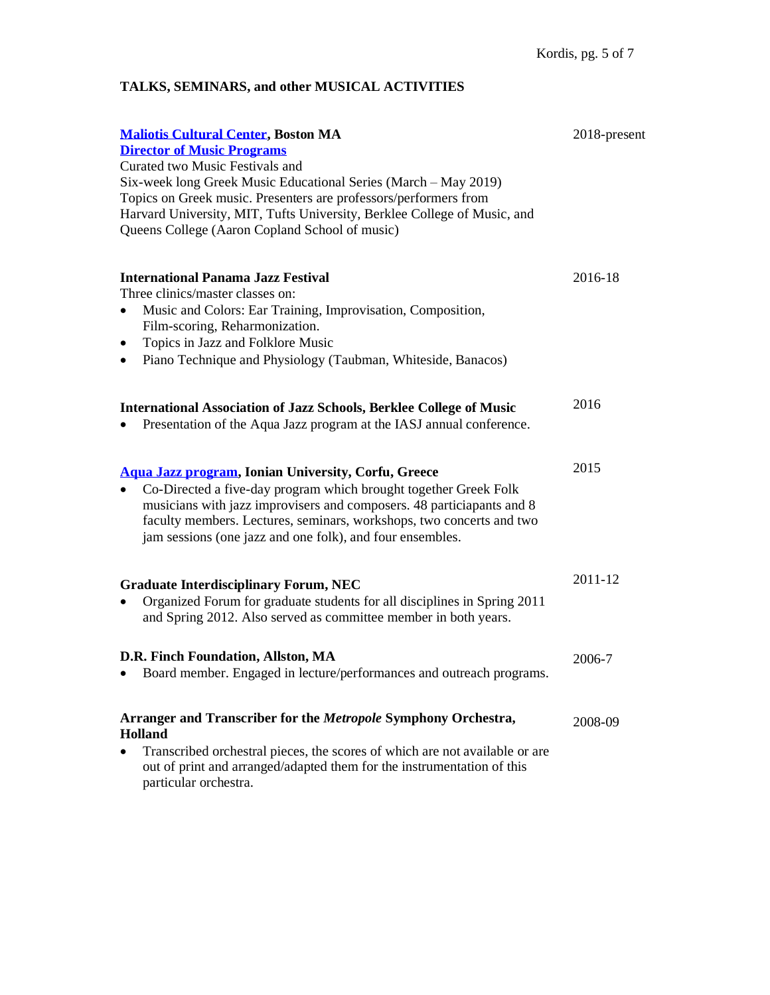# **TALKS, SEMINARS, and other MUSICAL ACTIVITIES**

| <b>Maliotis Cultural Center, Boston MA</b><br><b>Director of Music Programs</b><br>Curated two Music Festivals and<br>Six-week long Greek Music Educational Series (March – May 2019)<br>Topics on Greek music. Presenters are professors/performers from<br>Harvard University, MIT, Tufts University, Berklee College of Music, and<br>Queens College (Aaron Copland School of music) | 2018-present |
|-----------------------------------------------------------------------------------------------------------------------------------------------------------------------------------------------------------------------------------------------------------------------------------------------------------------------------------------------------------------------------------------|--------------|
| <b>International Panama Jazz Festival</b><br>Three clinics/master classes on:<br>Music and Colors: Ear Training, Improvisation, Composition,<br>$\bullet$<br>Film-scoring, Reharmonization.<br>Topics in Jazz and Folklore Music<br>٠<br>Piano Technique and Physiology (Taubman, Whiteside, Banacos)                                                                                   | 2016-18      |
| <b>International Association of Jazz Schools, Berklee College of Music</b><br>Presentation of the Aqua Jazz program at the IASJ annual conference.                                                                                                                                                                                                                                      | 2016         |
| Aqua Jazz program, Ionian University, Corfu, Greece<br>Co-Directed a five-day program which brought together Greek Folk<br>musicians with jazz improvisers and composers. 48 particiapants and 8<br>faculty members. Lectures, seminars, workshops, two concerts and two<br>jam sessions (one jazz and one folk), and four ensembles.                                                   | 2015         |
| <b>Graduate Interdisciplinary Forum, NEC</b><br>Organized Forum for graduate students for all disciplines in Spring 2011<br>and Spring 2012. Also served as committee member in both years.                                                                                                                                                                                             | 2011-12      |
| D.R. Finch Foundation, Allston, MA<br>Board member. Engaged in lecture/performances and outreach programs.                                                                                                                                                                                                                                                                              | 2006-7       |
| Arranger and Transcriber for the Metropole Symphony Orchestra,<br><b>Holland</b><br>Transcribed orchestral pieces, the scores of which are not available or are<br>out of print and arranged/adapted them for the instrumentation of this<br>particular orchestra.                                                                                                                      | 2008-09      |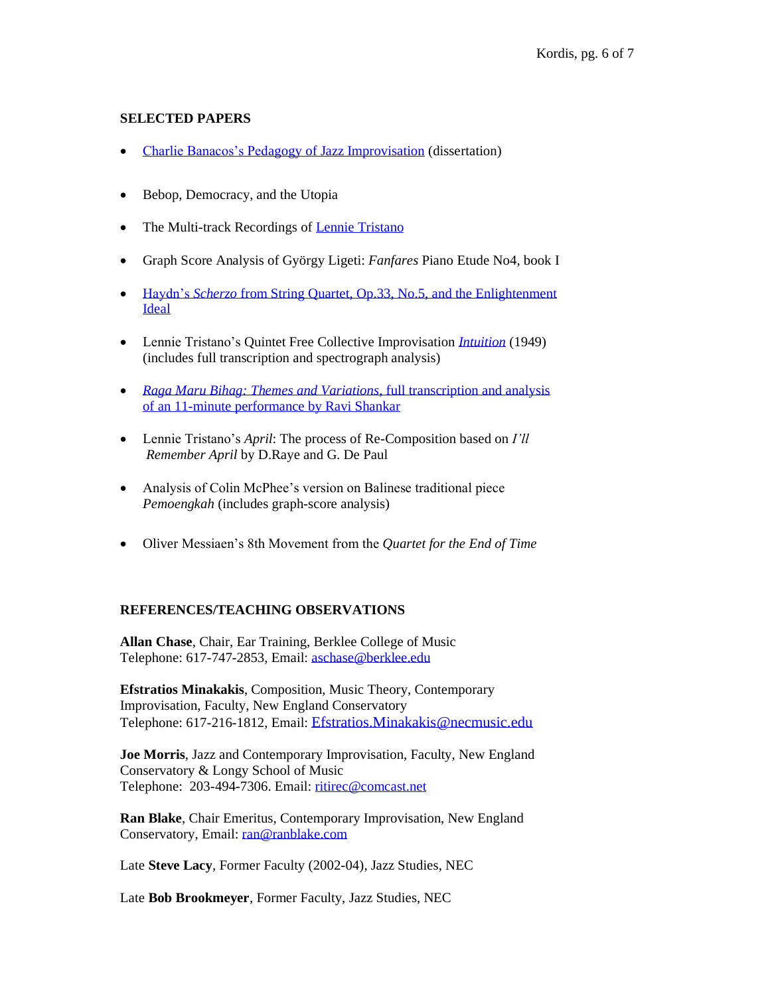#### **SELECTED PAPERS**

- [Charlie Banacos's Pedagogy of Jazz Improvisation](http://ir.flo.org/nec/institutionalPublicationPublicView.action?institutionalItemVersionId=27) (dissertation)
- Bebop, Democracy, and the Utopia
- The Multi-track Recordings of [Lennie Tristano](http://www.leftchordmusic.com/leftchordmusic.com/Transcriptions.html)
- Graph Score Analysis of György Ligeti: *Fanfares* Piano Etude No4, book I
- Haydn's *Scherzo* from [String Quartet, Op.33, No.5, and the Enlightenment](https://www.academia.edu/16894852/The_Scherzo_of_Haydn_s_String_Quartet_Op.33_No.5_and_the_Enlightenment_Ideal) [Ideal](https://www.academia.edu/16894852/The_Scherzo_of_Haydn_s_String_Quartet_Op.33_No.5_and_the_Enlightenment_Ideal)
- Lennie Tristano's Quintet Free Collective Improvisation *[Intuition](https://www.youtube.com/watch?v=u67om0t96yQ&feature=youtu.be)* (1949) (includes full transcription and spectrograph analysis)
- *Raga Maru Bihag: Themes and Variations*[, full transcription and analysis](https://www.academia.edu/16895018/Ravi_Shankar_--_Raga_Maru_Bihag_Themes_and_Variations)  [of an 11-minute performance by Ravi Shankar](https://www.academia.edu/16895018/Ravi_Shankar_--_Raga_Maru_Bihag_Themes_and_Variations)
- Lennie Tristano's *April*: The process of Re-Composition based on *I'll Remember April* by D.Raye and G. De Paul
- Analysis of Colin McPhee's version on Balinese traditional piece *Pemoengkah* (includes graph-score analysis)
- Oliver Messiaen's 8th Movement from the *Quartet for the End of Time*

#### **REFERENCES/TEACHING OBSERVATIONS**

**Allan Chase**, Chair, Ear Training, Berklee College of Music Telephone: 617-747-2853, Email[: aschase@berklee.edu](mailto:aschase@berklee.edu)

**Efstratios Minakakis**, Composition, Music Theory, Contemporary Improvisation, Faculty, New England Conservatory Telephone: 617-216-1812, Email: [Efstratios.Minakakis@necmusic.edu](mailto:Efstratios.Minakakis@necmusic.edu)

**Joe Morris**, Jazz and Contemporary Improvisation, Faculty, New England Conservatory & Longy School of Music Telephone: 203-494-7306. Email: [ritirec@comcast.net](mailto:ritirec@comcast.net)

**Ran Blake**, Chair Emeritus, Contemporary Improvisation, New England Conservatory, Email: [ran@ranblake.com](mailto:ran@ranblake.com)

Late **Steve Lacy**, Former Faculty (2002-04), Jazz Studies, NEC

Late **Bob Brookmeyer**, Former Faculty, Jazz Studies, NEC